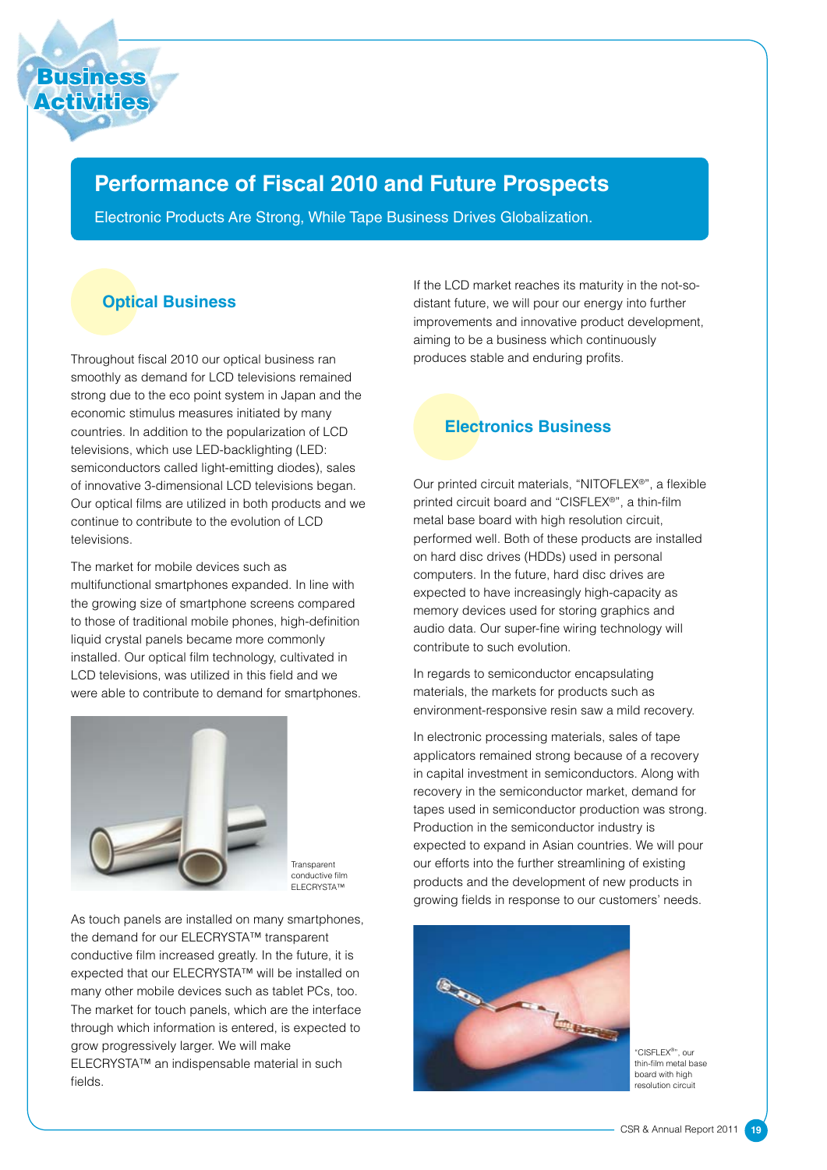# **Performance of Fiscal 2010 and Future Prospects**

Electronic Products Are Strong, While Tape Business Drives Globalization.

## **Optical Business**

Throughout fiscal 2010 our optical business ran smoothly as demand for LCD televisions remained strong due to the eco point system in Japan and the economic stimulus measures initiated by many countries. In addition to the popularization of LCD televisions, which use LED-backlighting (LED: semiconductors called light-emitting diodes), sales of innovative 3-dimensional LCD televisions began. Our optical films are utilized in both products and we continue to contribute to the evolution of LCD televisions.

The market for mobile devices such as multifunctional smartphones expanded. In line with the growing size of smartphone screens compared to those of traditional mobile phones, high-definition liquid crystal panels became more commonly installed. Our optical film technology, cultivated in LCD televisions, was utilized in this field and we were able to contribute to demand for smartphones.



**Transparent** conductive film ELECRYSTA™

As touch panels are installed on many smartphones, the demand for our ELECRYSTA™ transparent conductive film increased greatly. In the future, it is expected that our ELECRYSTA™ will be installed on many other mobile devices such as tablet PCs, too. The market for touch panels, which are the interface through which information is entered, is expected to grow progressively larger. We will make ELECRYSTA™ an indispensable material in such fields.

If the LCD market reaches its maturity in the not-sodistant future, we will pour our energy into further improvements and innovative product development, aiming to be a business which continuously produces stable and enduring profits.

## **Electronics Business**

Our printed circuit materials, "NITOFLEX®", a flexible printed circuit board and "CISFLEX®", a thin-film metal base board with high resolution circuit, performed well. Both of these products are installed on hard disc drives (HDDs) used in personal computers. In the future, hard disc drives are expected to have increasingly high-capacity as memory devices used for storing graphics and audio data. Our super-fine wiring technology will contribute to such evolution.

In regards to semiconductor encapsulating materials, the markets for products such as environment-responsive resin saw a mild recovery.

In electronic processing materials, sales of tape applicators remained strong because of a recovery in capital investment in semiconductors. Along with recovery in the semiconductor market, demand for tapes used in semiconductor production was strong. Production in the semiconductor industry is expected to expand in Asian countries. We will pour our efforts into the further streamlining of existing products and the development of new products in growing fields in response to our customers' needs.



"CISFLEX® ", our thin-film metal base board with high resolution circuit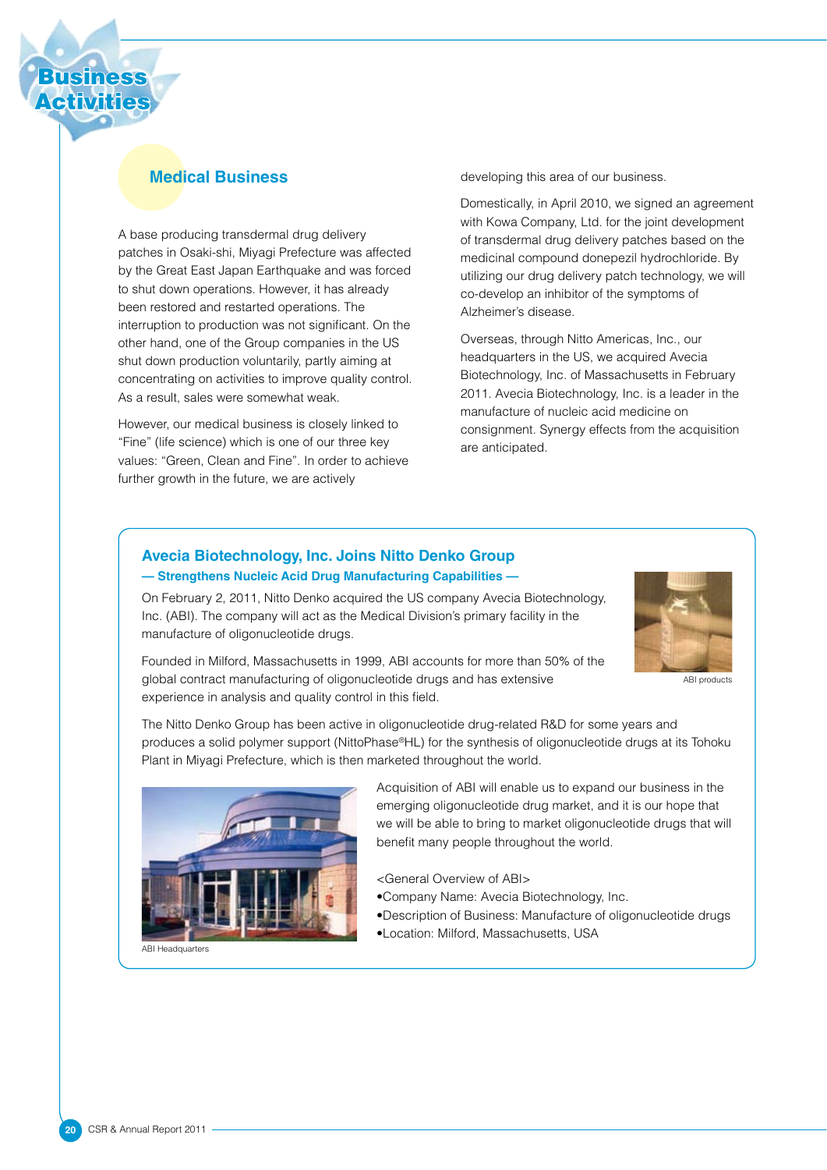

### **Medical Business**

A base producing transdermal drug delivery patches in Osaki-shi, Miyagi Prefecture was affected by the Great East Japan Earthquake and was forced to shut down operations. However, it has already been restored and restarted operations. The interruption to production was not significant. On the other hand, one of the Group companies in the US shut down production voluntarily, partly aiming at concentrating on activities to improve quality control. As a result, sales were somewhat weak.

However, our medical business is closely linked to "Fine" (life science) which is one of our three key values: "Green, Clean and Fine". In order to achieve further growth in the future, we are actively

developing this area of our business.

Domestically, in April 2010, we signed an agreement with Kowa Company, Ltd. for the joint development of transdermal drug delivery patches based on the medicinal compound donepezil hydrochloride. By utilizing our drug delivery patch technology, we will co-develop an inhibitor of the symptoms of Alzheimer's disease.

Overseas, through Nitto Americas, Inc., our headquarters in the US, we acquired Avecia Biotechnology, Inc. of Massachusetts in February 2011. Avecia Biotechnology, Inc. is a leader in the manufacture of nucleic acid medicine on consignment. Synergy effects from the acquisition are anticipated.

#### **Avecia Biotechnology, Inc. Joins Nitto Denko Group — Strengthens Nucleic Acid Drug Manufacturing Capabilities —**

On February 2, 2011, Nitto Denko acquired the US company Avecia Biotechnology, Inc. (ABI). The company will act as the Medical Division's primary facility in the manufacture of oligonucleotide drugs.



ABI products

Founded in Milford, Massachusetts in 1999, ABI accounts for more than 50% of the global contract manufacturing of oligonucleotide drugs and has extensive experience in analysis and quality control in this field.

The Nitto Denko Group has been active in oligonucleotide drug-related R&D for some years and produces a solid polymer support (NittoPhase®HL) for the synthesis of oligonucleotide drugs at its Tohoku Plant in Miyagi Prefecture, which is then marketed throughout the world.



ABI Headquarters

Acquisition of ABI will enable us to expand our business in the emerging oligonucleotide drug market, and it is our hope that we will be able to bring to market oligonucleotide drugs that will benefit many people throughout the world.

<General Overview of ABI>

• Company Name: Avecia Biotechnology, Inc.

- • Description of Business: Manufacture of oligonucleotide drugs
- • Location: Milford, Massachusetts, USA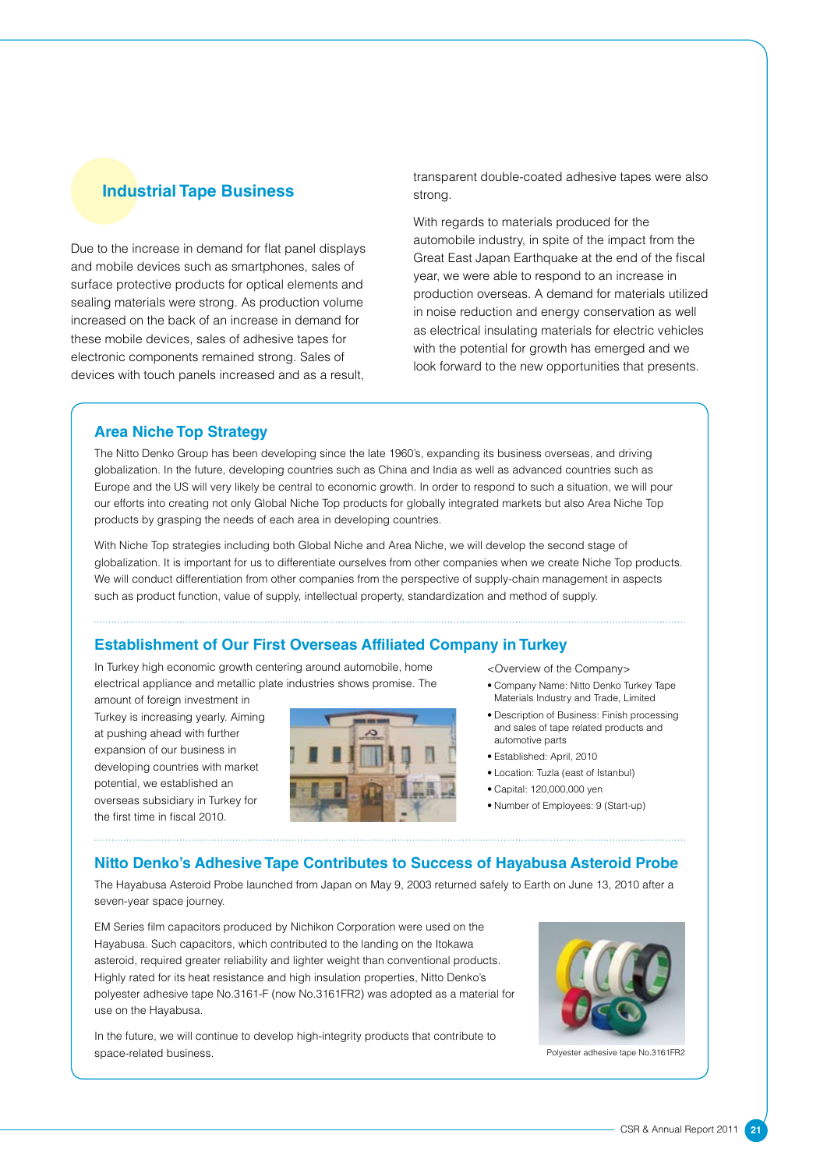#### **Industrial Tape Business**

Due to the increase in demand for flat panel displays and mobile devices such as smartphones, sales of surface protective products for optical elements and sealing materials were strong. As production volume increased on the back of an increase in demand for these mobile devices, sales of adhesive tapes for electronic components remained strong. Sales of devices with touch panels increased and as a result, transparent double-coated adhesive tapes were also strong.

With regards to materials produced for the automobile industry, in spite of the impact from the Great East Japan Earthquake at the end of the fiscal year, we were able to respond to an increase in production overseas. A demand for materials utilized in noise reduction and energy conservation as well as electrical insulating materials for electric vehicles with the potential for growth has emerged and we look forward to the new opportunities that presents.

#### **Area Niche Top Strategy**

The Nitto Denko Group has been developing since the late 1960's, expanding its business overseas, and driving globalization. In the future, developing countries such as China and India as well as advanced countries such as Europe and the US will very likely be central to economic growth. In order to respond to such a situation, we will pour our efforts into creating not only Global Niche Top products for globally integrated markets but also Area Niche Top products by grasping the needs of each area in developing countries.

With Niche Top strategies including both Global Niche and Area Niche, we will develop the second stage of globalization. It is important for us to differentiate ourselves from other companies when we create Niche Top products. We will conduct differentiation from other companies from the perspective of supply-chain management in aspects such as product function, value of supply, intellectual property, standardization and method of supply.

#### **Establishment of Our First Overseas Affiliated Company in Turkey**

In Turkey high economic growth centering around automobile, home electrical appliance and metallic plate industries shows promise. The

amount of foreign investment in Turkey is increasing yearly. Aiming at pushing ahead with further expansion of our business in developing countries with market potential, we established an overseas subsidiary in Turkey for the first time in fiscal 2010.



<Overview of the Company>

- • Company Name: Nitto Denko Turkey Tape Materials Industry and Trade, Limited
- • Description of Business: Finish processing and sales of tape related products and automotive parts
- • Established: April, 2010
- • Location: Tuzla (east of Istanbul)
- • Capital: 120,000,000 yen
- • Number of Employees: 9 (Start-up)

#### **Nitto Denko's Adhesive Tape Contributes to Success of Hayabusa Asteroid Probe**

The Hayabusa Asteroid Probe launched from Japan on May 9, 2003 returned safely to Earth on June 13, 2010 after a seven-year space journey.

EM Series film capacitors produced by Nichikon Corporation were used on the Hayabusa. Such capacitors, which contributed to the landing on the Itokawa asteroid, required greater reliability and lighter weight than conventional products. Highly rated for its heat resistance and high insulation properties, Nitto Denko's polyester adhesive tape No.3161-F (now No.3161FR2) was adopted as a material for use on the Hayabusa.

In the future, we will continue to develop high-integrity products that contribute to space-related business.



Polyester adhesive tape No.3161FR2